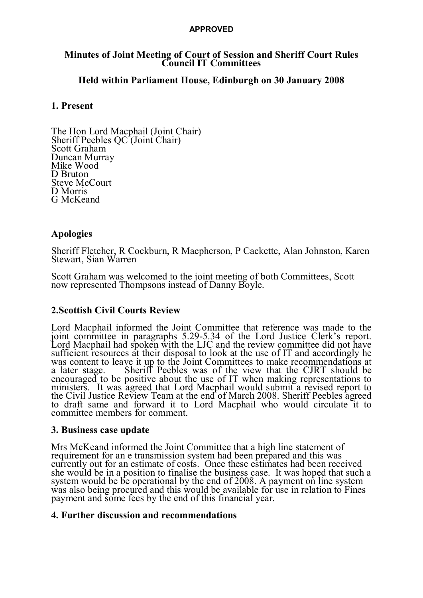#### **APPROVED**

#### **Minutes of Joint Meeting of Court of Session and Sheriff Court Rules Council IT Committees**

## **Held within Parliament House, Edinburgh on 30 January 2008**

## **1. Present**

The Hon Lord Macphail (Joint Chair) Sheriff Peebles QC (Joint Chair) Scott Graham Duncan Murray Mike Wood D Bruton Steve McCourt D Morris G McKeand

### **Apologies**

Sheriff Fletcher, R Cockburn, R Macpherson, P Cackette, Alan Johnston, Karen Stewart, Sian Warren

Scott Graham was welcomed to the joint meeting of both Committees, Scott now represented Thompsons instead of Danny Boyle.

### **2.Scottish Civil Courts Review**

Lord Macphail informed the Joint Committee that reference was made to the joint committee in paragraphs 5.29-5.34 of the Lord Justice Clerk's report. Lord Macphail had spoken with the LJC and the review committee did not have sufficient resources at their disposal to look at the use of IT and accordingly he was content to leave it up to the Joint Committees to make recommendations at a later stage. Sheriff Peebles was of the view that the CJRT should be encouraged to be positive about the use of IT when making representations to ministers. It was agreed that Lord Macphail would submit a revised report to the Civil Justice Review Team at the end of March 2008. Sheriff Peebles agreed to draft same and forward it to Lord Macphail who would circulate it to committee members for comment.

### **3. Business case update**

Mrs McKeand informed the Joint Committee that a high line statement of requirement for an e transmission system had been prepared and this was currently out for an estimate of costs. Once these estimates had been received she would be in a position to finalise the business case. It was hoped that such a system would be be operational by the end of 2008. A payment on line system was also being procured and this would be available for use in relation to Fines payment and some fees by the end of this financial year.

### **4. Further discussion and recommendations**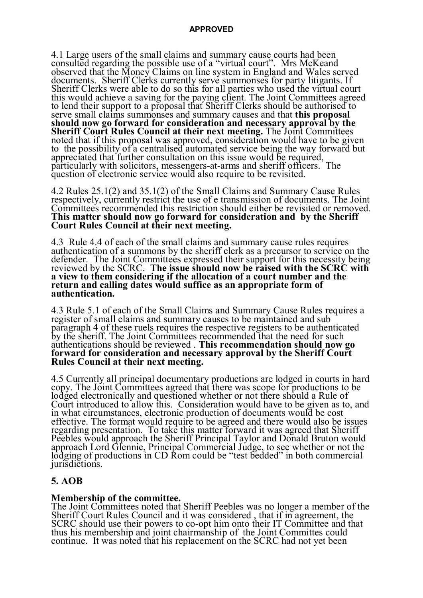4.1 Large users of the small claims and summary cause courts had been consulted regarding the possible use of a "virtual court". Mrs McKeand observed that the Money Claims on line system in England and Wales served documents. Sheriff Clerks currently serve summonses for party litigants. If Sheriff Clerks were able to do so this for all parties who used the virtual court this would achieve a saving for the paying client. The Joint Committees agreed to lend their support to a proposal that Sheriff Clerks should be authorised to serve small claims summonses and summary causes and that **this proposal should now go forward for consideration and necessary approval by the Sheriff Court Rules Council at their next meeting.** The Joint Committees noted that if this proposal was approved, consideration would have to be given to the possibility of a centralised automated service being the way forward but appreciated that further consultation on this issue would be required, particularly with solicitors, messengers-at-arms and sheriff officers. The question of electronic service would also require to be revisited.

4.2 Rules 25.1(2) and 35.1(2) of the Small Claims and Summary Cause Rules respectively, currently restrict the use of e transmission of documents. The Joint Committees recommended this restriction should either be revisited or removed. **This matter should now go forward for consideration and by the Sheriff Court Rules Council at their next meeting.**

4.3 Rule 4.4 of each of the small claims and summary cause rules requires authentication of a summons by the sheriff clerk as a precursor to service on the defender. The Joint Committees expressed their support for this necessity being reviewed by the SCRC. **The issue should now be raised with the SCRC with a view to them considering if the allocation of a court number and the return and calling dates would suffice as an appropriate form of authentication.**

4.3 Rule 5.1 of each of the Small Claims and Summary Cause Rules requires a register of small claims and summary causes to be maintained and sub paragraph 4 of these ruels requires the respective registers to be authenticated by the sheriff. The Joint Committees recommended that the need for such authentications should be reviewed . **This recommendation should now go forward for consideration and necessary approval by the Sheriff Court Rules Council at their next meeting.**

4.5 Currently all principal documentary productions are lodged in courts in hard copy. The Joint Committees agreed that there was scope for productions to be lodged electronically and questioned whether or not there should a Rule of Court introduced to allow this. Consideration would have to be given as to, and in what circumstances, electronic production of documents would be cost effective. The format would require to be agreed and there would also be issues regarding presentation. To take this matter forward it was agreed that Sheriff Peebles would approach the Sheriff Principal Taylor and Donald Bruton would approach Lord Glennie, Principal Commercial Judge, to see whether or not the lodging of productions in CD Rom could be "test bedded" in both commercial jurisdictions.

### **5. AOB**

**Membership of the committee.** The Joint Committees noted that Sheriff Peebles was no longer a member of the Sheriff Court Rules Council and it was considered , that if in agreement, the SCRC should use their powers to co-opt him onto their IT Committee and that thus his membership and joint chairmanship of the Joint Committes could continue. It was noted that his replacement on the SCRC had not yet been